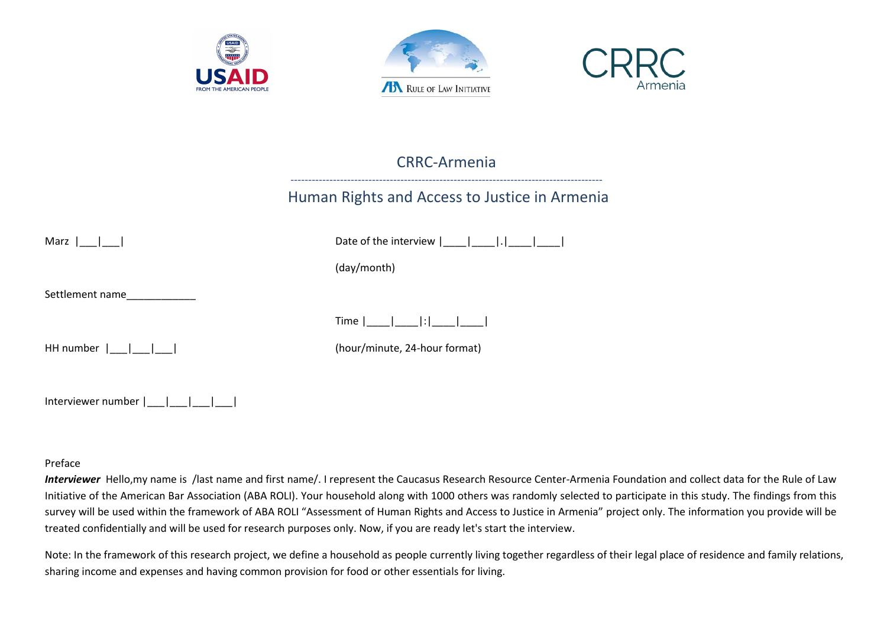





# CRRC-Armenia

# ---------------------------------------------------------------------------------------- Human Rights and Access to Justice in Armenia

| Marz $\vert \vert \vert$ | Date of the interview $\begin{bmatrix} 1 & 1 \\ 1 & 1 \end{bmatrix}$ |
|--------------------------|----------------------------------------------------------------------|
|                          | (day/month)                                                          |
| Settlement name          |                                                                      |
|                          | Time $ \_\_ $ $ \_\_ $ : $ \_\_ $ $ \_\_$                            |
|                          | (hour/minute, 24-hour format)                                        |
|                          |                                                                      |
| Interviewer number       |                                                                      |

#### Preface

*Interviewer* Hello,my name is /last name and first name/. I represent the Caucasus Research Resource Center-Armenia Foundation and collect data for the Rule of Law Initiative of the American Bar Association (ABA ROLI). Your household along with 1000 others was randomly selected to participate in this study. The findings from this survey will be used within the framework of ABA ROLI "Assessment of Human Rights and Access to Justice in Armenia" project only. The information you provide will be treated confidentially and will be used for research purposes only. Now, if you are ready let's start the interview.

Note: In the framework of this research project, we define a household as people currently living together regardless of their legal place of residence and family relations, sharing income and expenses and having common provision for food or other essentials for living.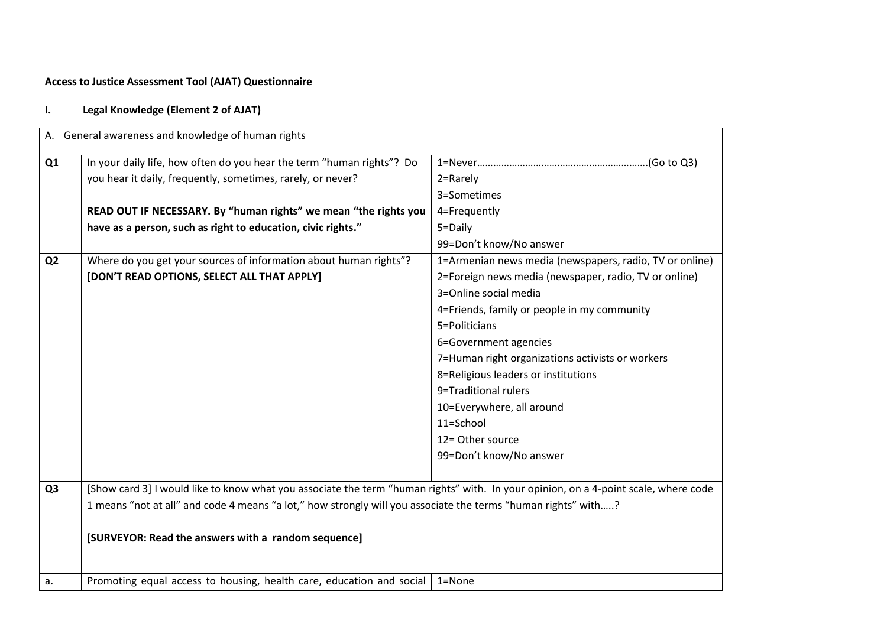# **Access to Justice Assessment Tool (AJAT) Questionnaire**

# **I. Legal Knowledge (Element 2 of AJAT)**

|                | A. General awareness and knowledge of human rights                                                                                  |                                                         |
|----------------|-------------------------------------------------------------------------------------------------------------------------------------|---------------------------------------------------------|
| Q <sub>1</sub> | In your daily life, how often do you hear the term "human rights"? Do                                                               |                                                         |
|                | you hear it daily, frequently, sometimes, rarely, or never?                                                                         | 2=Rarely                                                |
|                |                                                                                                                                     | 3=Sometimes                                             |
|                | READ OUT IF NECESSARY. By "human rights" we mean "the rights you                                                                    | 4=Frequently                                            |
|                | have as a person, such as right to education, civic rights."                                                                        | 5=Daily                                                 |
|                |                                                                                                                                     | 99=Don't know/No answer                                 |
| Q <sub>2</sub> | Where do you get your sources of information about human rights"?                                                                   | 1=Armenian news media (newspapers, radio, TV or online) |
|                | [DON'T READ OPTIONS, SELECT ALL THAT APPLY]                                                                                         | 2=Foreign news media (newspaper, radio, TV or online)   |
|                |                                                                                                                                     | 3=Online social media                                   |
|                |                                                                                                                                     | 4=Friends, family or people in my community             |
|                |                                                                                                                                     | 5=Politicians                                           |
|                |                                                                                                                                     | 6=Government agencies                                   |
|                |                                                                                                                                     | 7=Human right organizations activists or workers        |
|                |                                                                                                                                     | 8=Religious leaders or institutions                     |
|                |                                                                                                                                     | 9=Traditional rulers                                    |
|                |                                                                                                                                     | 10=Everywhere, all around                               |
|                |                                                                                                                                     | 11=School                                               |
|                |                                                                                                                                     | 12= Other source                                        |
|                |                                                                                                                                     | 99=Don't know/No answer                                 |
| Q <sub>3</sub> | [Show card 3] I would like to know what you associate the term "human rights" with. In your opinion, on a 4-point scale, where code |                                                         |
|                | 1 means "not at all" and code 4 means "a lot," how strongly will you associate the terms "human rights" with?                       |                                                         |
|                |                                                                                                                                     |                                                         |
|                | [SURVEYOR: Read the answers with a random sequence]                                                                                 |                                                         |
|                |                                                                                                                                     |                                                         |
| a.             | Promoting equal access to housing, health care, education and social                                                                | 1=None                                                  |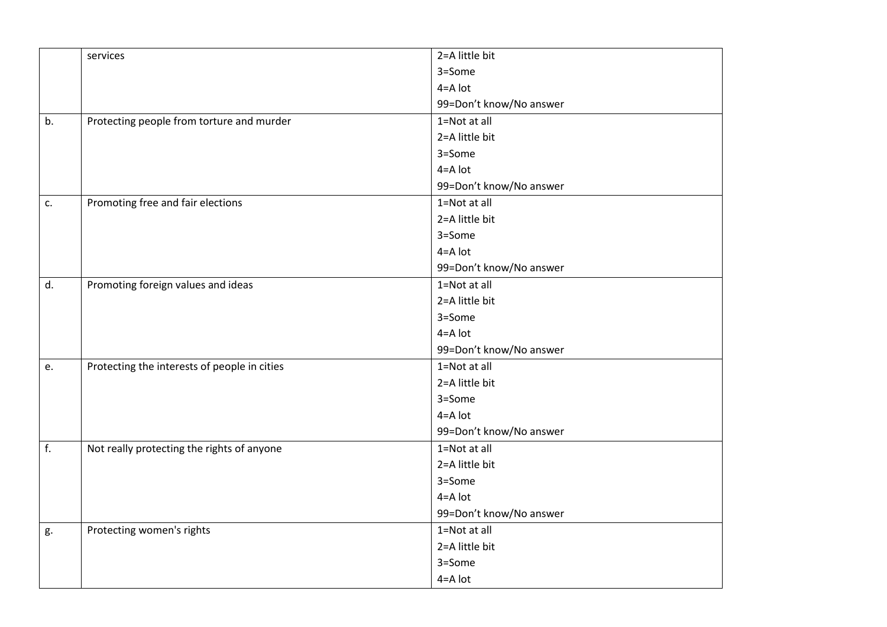|    | services                                     | 2=A little bit          |
|----|----------------------------------------------|-------------------------|
|    |                                              | 3=Some                  |
|    |                                              | $4 = A$ lot             |
|    |                                              | 99=Don't know/No answer |
| b. | Protecting people from torture and murder    | 1=Not at all            |
|    |                                              | 2=A little bit          |
|    |                                              | 3=Some                  |
|    |                                              | $4 = A$ lot             |
|    |                                              | 99=Don't know/No answer |
| c. | Promoting free and fair elections            | 1=Not at all            |
|    |                                              | 2=A little bit          |
|    |                                              | 3=Some                  |
|    |                                              | $4 = A$ lot             |
|    |                                              | 99=Don't know/No answer |
| d. | Promoting foreign values and ideas           | 1=Not at all            |
|    |                                              | 2=A little bit          |
|    |                                              | 3=Some                  |
|    |                                              | $4 = A$ lot             |
|    |                                              | 99=Don't know/No answer |
| e. | Protecting the interests of people in cities | 1=Not at all            |
|    |                                              | 2=A little bit          |
|    |                                              | 3=Some                  |
|    |                                              | $4 = A$ lot             |
|    |                                              | 99=Don't know/No answer |
| f. | Not really protecting the rights of anyone   | 1=Not at all            |
|    |                                              | 2=A little bit          |
|    |                                              | 3=Some                  |
|    |                                              | $4 = A$ lot             |
|    |                                              | 99=Don't know/No answer |
| g. | Protecting women's rights                    | 1=Not at all            |
|    |                                              | 2=A little bit          |
|    |                                              | 3=Some                  |
|    |                                              | 4=A lot                 |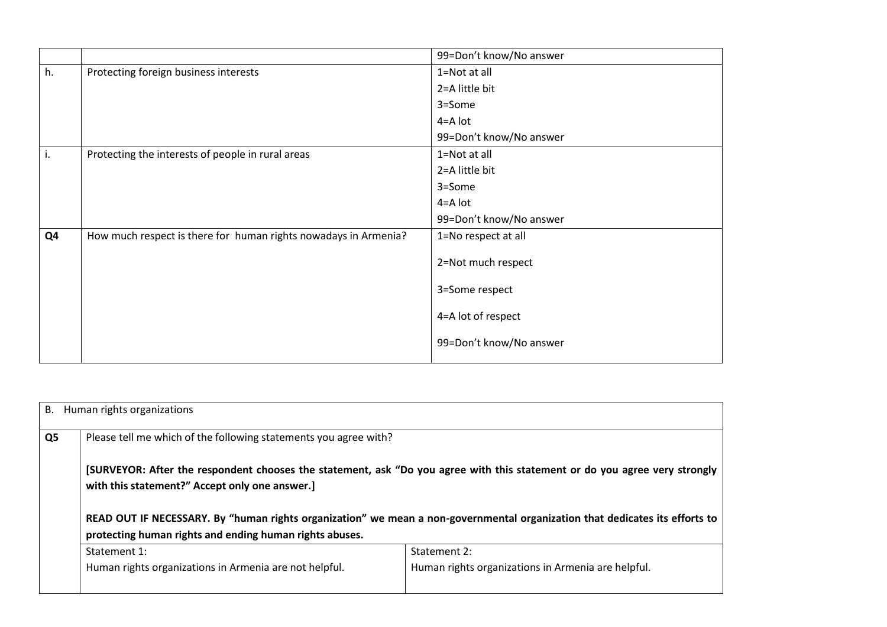|    |                                                                 | 99=Don't know/No answer |
|----|-----------------------------------------------------------------|-------------------------|
| h. | Protecting foreign business interests                           | 1=Not at all            |
|    |                                                                 | 2=A little bit          |
|    |                                                                 | 3=Some                  |
|    |                                                                 | 4=A lot                 |
|    |                                                                 | 99=Don't know/No answer |
| ι. | Protecting the interests of people in rural areas               | 1=Not at all            |
|    |                                                                 | 2=A little bit          |
|    |                                                                 | 3=Some                  |
|    |                                                                 | 4=A lot                 |
|    |                                                                 | 99=Don't know/No answer |
| Q4 | How much respect is there for human rights nowadays in Armenia? | 1=No respect at all     |
|    |                                                                 | 2=Not much respect      |
|    |                                                                 | 3=Some respect          |
|    |                                                                 | 4=A lot of respect      |
|    |                                                                 | 99=Don't know/No answer |

|    | B. Human rights organizations                                                                                |                                                                                                                                                                                                                                                           |  |  |  |  |  |
|----|--------------------------------------------------------------------------------------------------------------|-----------------------------------------------------------------------------------------------------------------------------------------------------------------------------------------------------------------------------------------------------------|--|--|--|--|--|
| Q5 | Please tell me which of the following statements you agree with?                                             |                                                                                                                                                                                                                                                           |  |  |  |  |  |
|    | with this statement?" Accept only one answer.]<br>protecting human rights and ending human rights abuses.    | [SURVEYOR: After the respondent chooses the statement, ask "Do you agree with this statement or do you agree very strongly<br>READ OUT IF NECESSARY. By "human rights organization" we mean a non-governmental organization that dedicates its efforts to |  |  |  |  |  |
|    | Statement 1:                                                                                                 | Statement 2:                                                                                                                                                                                                                                              |  |  |  |  |  |
|    | Human rights organizations in Armenia are helpful.<br>Human rights organizations in Armenia are not helpful. |                                                                                                                                                                                                                                                           |  |  |  |  |  |
|    |                                                                                                              |                                                                                                                                                                                                                                                           |  |  |  |  |  |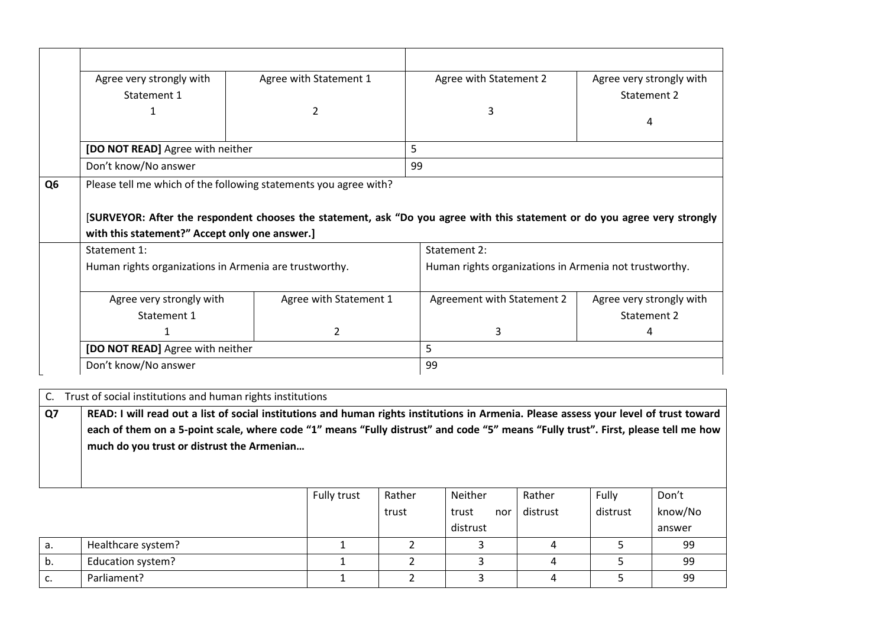|                | Agree very strongly with                                 | Agree with Statement 1                                           | Agree with Statement 2                                                                                                     | Agree very strongly with |  |
|----------------|----------------------------------------------------------|------------------------------------------------------------------|----------------------------------------------------------------------------------------------------------------------------|--------------------------|--|
|                | Statement 1                                              |                                                                  |                                                                                                                            | Statement 2              |  |
|                | 1                                                        |                                                                  | 3                                                                                                                          |                          |  |
|                | [DO NOT READ] Agree with neither<br>Don't know/No answer |                                                                  |                                                                                                                            | 4                        |  |
|                |                                                          |                                                                  | 5.                                                                                                                         |                          |  |
|                |                                                          |                                                                  | 99                                                                                                                         |                          |  |
| Q <sub>6</sub> |                                                          | Please tell me which of the following statements you agree with? |                                                                                                                            |                          |  |
|                |                                                          |                                                                  |                                                                                                                            |                          |  |
|                |                                                          |                                                                  |                                                                                                                            |                          |  |
|                |                                                          |                                                                  | [SURVEYOR: After the respondent chooses the statement, ask "Do you agree with this statement or do you agree very strongly |                          |  |
|                | with this statement?" Accept only one answer.]           |                                                                  |                                                                                                                            |                          |  |
|                | Statement 1:                                             |                                                                  | Statement 2:                                                                                                               |                          |  |
|                | Human rights organizations in Armenia are trustworthy.   |                                                                  | Human rights organizations in Armenia not trustworthy.                                                                     |                          |  |
|                |                                                          |                                                                  |                                                                                                                            |                          |  |
|                | Agree very strongly with                                 | Agree with Statement 1                                           | Agreement with Statement 2                                                                                                 | Agree very strongly with |  |
|                | Statement 1                                              |                                                                  |                                                                                                                            | Statement 2              |  |
|                |                                                          | $\overline{2}$                                                   | 3                                                                                                                          | 4                        |  |
|                | [DO NOT READ] Agree with neither                         |                                                                  | 5.                                                                                                                         |                          |  |

| Q7 | much do you trust or distrust the Armenian | READ: I will read out a list of social institutions and human rights institutions in Armenia. Please assess your level of trust toward<br>each of them on a 5-point scale, where code "1" means "Fully distrust" and code "5" means "Fully trust". First, please tell me how |  |  |  |  |
|----|--------------------------------------------|------------------------------------------------------------------------------------------------------------------------------------------------------------------------------------------------------------------------------------------------------------------------------|--|--|--|--|
|    |                                            |                                                                                                                                                                                                                                                                              |  |  |  |  |

|    |                    | Fully trust | Rather | Neither      | Rather   | Fully    | Don't   |
|----|--------------------|-------------|--------|--------------|----------|----------|---------|
|    |                    |             | trust  | trust<br>nor | distrust | distrust | know/No |
|    |                    |             |        | distrust     |          |          | answer  |
| а. | Healthcare system? |             |        |              |          |          | 99      |
| b. | Education system?  |             |        |              |          |          | 99      |
| c. | Parliament?        |             |        |              |          |          | 99      |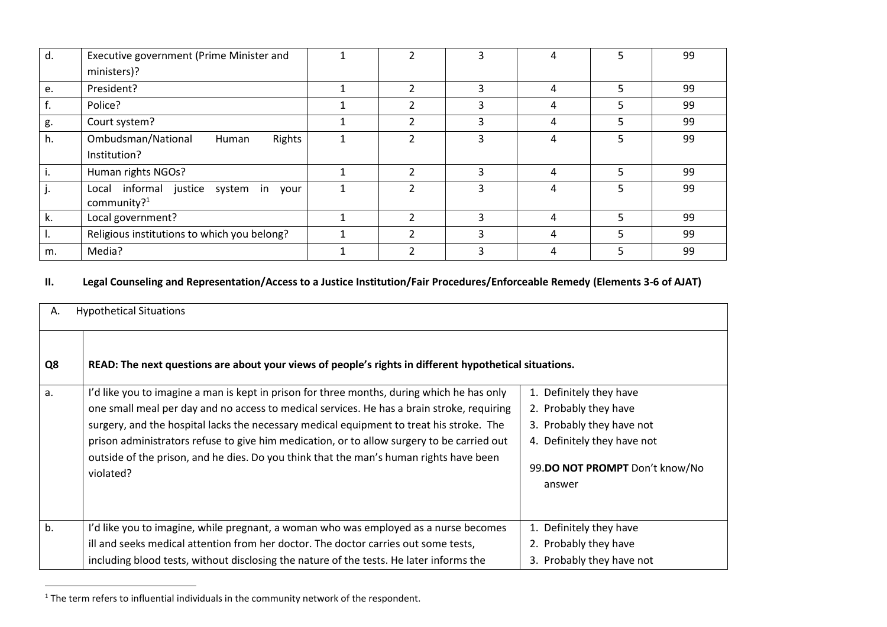| d. | Executive government (Prime Minister and                |                |   | 4 |   | 99 |
|----|---------------------------------------------------------|----------------|---|---|---|----|
|    | ministers)?                                             |                |   |   |   |    |
| e. | President?                                              | $\overline{2}$ | 3 | 4 | 5 | 99 |
|    | Police?                                                 |                |   | 4 |   | 99 |
| g. | Court system?                                           |                | ς | 4 |   | 99 |
| h. | Ombudsman/National<br>Rights<br>Human                   |                |   | 4 |   | 99 |
|    | Institution?                                            |                |   |   |   |    |
|    | Human rights NGOs?                                      | ີ              | ς | 4 |   | 99 |
|    | Local informal justice system in your<br>community? $1$ |                | ੨ | 4 |   | 99 |
| k. | Local government?                                       |                | ς | 4 |   | 99 |
|    | Religious institutions to which you belong?             |                | ς | 4 |   | 99 |
| m. | Media?                                                  |                |   |   |   | 99 |

### **II. Legal Counseling and Representation/Access to a Justice Institution/Fair Procedures/Enforceable Remedy (Elements 3-6 of AJAT)**

| А. | <b>Hypothetical Situations</b>                                                                                                                                                                                                                                                                                                                                                                                                                                                            |                                                                                                                                                          |  |  |  |
|----|-------------------------------------------------------------------------------------------------------------------------------------------------------------------------------------------------------------------------------------------------------------------------------------------------------------------------------------------------------------------------------------------------------------------------------------------------------------------------------------------|----------------------------------------------------------------------------------------------------------------------------------------------------------|--|--|--|
| Q8 | READ: The next questions are about your views of people's rights in different hypothetical situations.                                                                                                                                                                                                                                                                                                                                                                                    |                                                                                                                                                          |  |  |  |
| a. | I'd like you to imagine a man is kept in prison for three months, during which he has only<br>one small meal per day and no access to medical services. He has a brain stroke, requiring<br>surgery, and the hospital lacks the necessary medical equipment to treat his stroke. The<br>prison administrators refuse to give him medication, or to allow surgery to be carried out<br>outside of the prison, and he dies. Do you think that the man's human rights have been<br>violated? | 1. Definitely they have<br>2. Probably they have<br>3. Probably they have not<br>4. Definitely they have not<br>99.DO NOT PROMPT Don't know/No<br>answer |  |  |  |
| b. | I'd like you to imagine, while pregnant, a woman who was employed as a nurse becomes<br>ill and seeks medical attention from her doctor. The doctor carries out some tests,<br>including blood tests, without disclosing the nature of the tests. He later informs the                                                                                                                                                                                                                    | 1. Definitely they have<br>2. Probably they have<br>3. Probably they have not                                                                            |  |  |  |

 $\overline{a}$ 

 $1$ <sup>1</sup> The term refers to influential individuals in the community network of the respondent.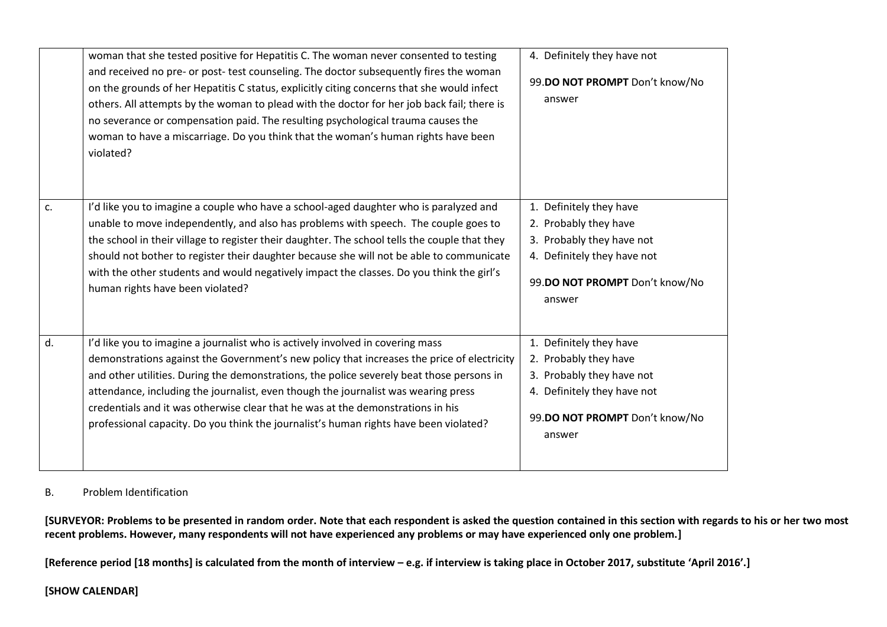|    | woman that she tested positive for Hepatitis C. The woman never consented to testing<br>and received no pre- or post-test counseling. The doctor subsequently fires the woman<br>on the grounds of her Hepatitis C status, explicitly citing concerns that she would infect<br>others. All attempts by the woman to plead with the doctor for her job back fail; there is<br>no severance or compensation paid. The resulting psychological trauma causes the<br>woman to have a miscarriage. Do you think that the woman's human rights have been<br>violated? | 4. Definitely they have not<br>99.DO NOT PROMPT Don't know/No<br>answer                                                                                  |
|----|-----------------------------------------------------------------------------------------------------------------------------------------------------------------------------------------------------------------------------------------------------------------------------------------------------------------------------------------------------------------------------------------------------------------------------------------------------------------------------------------------------------------------------------------------------------------|----------------------------------------------------------------------------------------------------------------------------------------------------------|
| c. | I'd like you to imagine a couple who have a school-aged daughter who is paralyzed and<br>unable to move independently, and also has problems with speech. The couple goes to<br>the school in their village to register their daughter. The school tells the couple that they<br>should not bother to register their daughter because she will not be able to communicate<br>with the other students and would negatively impact the classes. Do you think the girl's<br>human rights have been violated?                                                       | 1. Definitely they have<br>2. Probably they have<br>3. Probably they have not<br>4. Definitely they have not<br>99.DO NOT PROMPT Don't know/No<br>answer |
| d. | I'd like you to imagine a journalist who is actively involved in covering mass<br>demonstrations against the Government's new policy that increases the price of electricity<br>and other utilities. During the demonstrations, the police severely beat those persons in<br>attendance, including the journalist, even though the journalist was wearing press<br>credentials and it was otherwise clear that he was at the demonstrations in his<br>professional capacity. Do you think the journalist's human rights have been violated?                     | 1. Definitely they have<br>2. Probably they have<br>3. Probably they have not<br>4. Definitely they have not<br>99.DO NOT PROMPT Don't know/No<br>answer |

### B. Problem Identification

**[SURVEYOR: Problems to be presented in random order. Note that each respondent is asked the question contained in this section with regards to his or her two most recent problems. However, many respondents will not have experienced any problems or may have experienced only one problem.]**

**[Reference period [18 months] is calculated from the month of interview – e.g. if interview is taking place in October 2017, substitute 'April 2016'.]**

### **[SHOW CALENDAR]**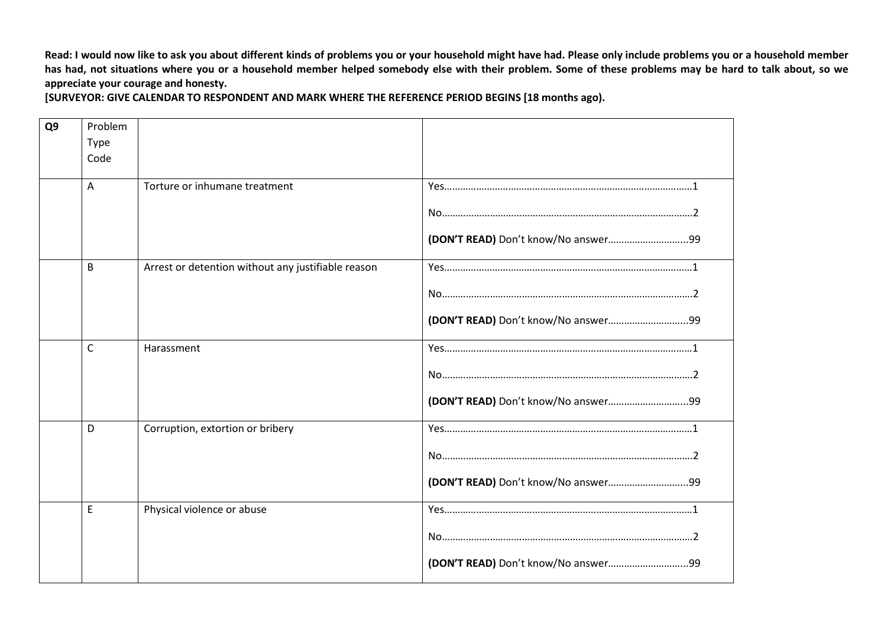**Read: I would now like to ask you about different kinds of problems you or your household might have had. Please only include problems you or a household member has had, not situations where you or a household member helped somebody else with their problem. Some of these problems may be hard to talk about, so we appreciate your courage and honesty.**

**[SURVEYOR: GIVE CALENDAR TO RESPONDENT AND MARK WHERE THE REFERENCE PERIOD BEGINS [18 months ago).** 

| Q9 | Problem      |                                                    |  |
|----|--------------|----------------------------------------------------|--|
|    | <b>Type</b>  |                                                    |  |
|    | Code         |                                                    |  |
|    | A            | Torture or inhumane treatment                      |  |
|    |              |                                                    |  |
|    |              |                                                    |  |
|    | B            | Arrest or detention without any justifiable reason |  |
|    |              |                                                    |  |
|    |              |                                                    |  |
|    | $\mathsf{C}$ | Harassment                                         |  |
|    |              |                                                    |  |
|    |              |                                                    |  |
|    | D            | Corruption, extortion or bribery                   |  |
|    |              |                                                    |  |
|    |              |                                                    |  |
|    | E            | Physical violence or abuse                         |  |
|    |              |                                                    |  |
|    |              |                                                    |  |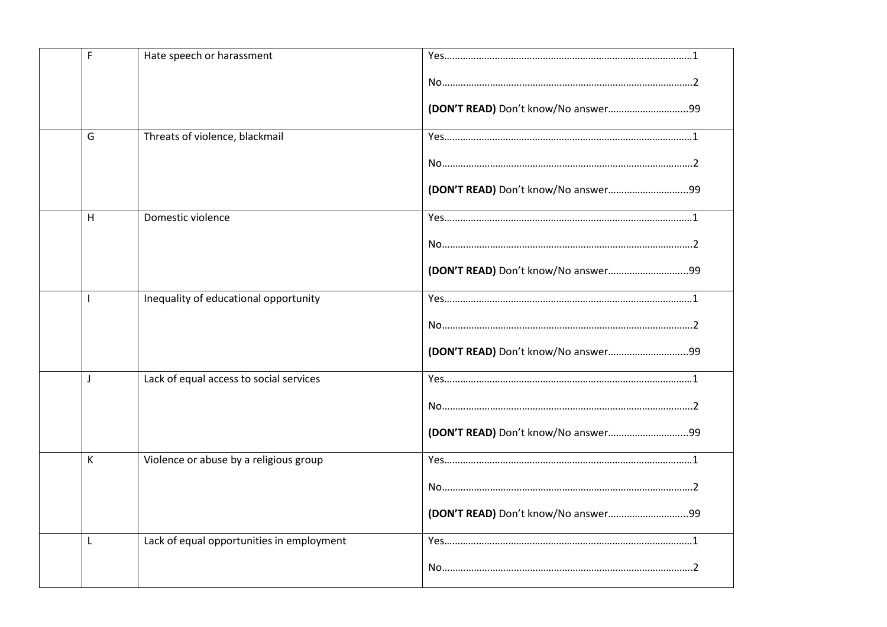| F            | Hate speech or harassment                 |  |
|--------------|-------------------------------------------|--|
|              |                                           |  |
|              |                                           |  |
| G            | Threats of violence, blackmail            |  |
|              |                                           |  |
|              |                                           |  |
| H            | Domestic violence                         |  |
|              |                                           |  |
|              |                                           |  |
|              | Inequality of educational opportunity     |  |
|              |                                           |  |
|              |                                           |  |
| $\mathbf{J}$ | Lack of equal access to social services   |  |
|              |                                           |  |
|              |                                           |  |
| К            | Violence or abuse by a religious group    |  |
|              |                                           |  |
|              |                                           |  |
| L            | Lack of equal opportunities in employment |  |
|              |                                           |  |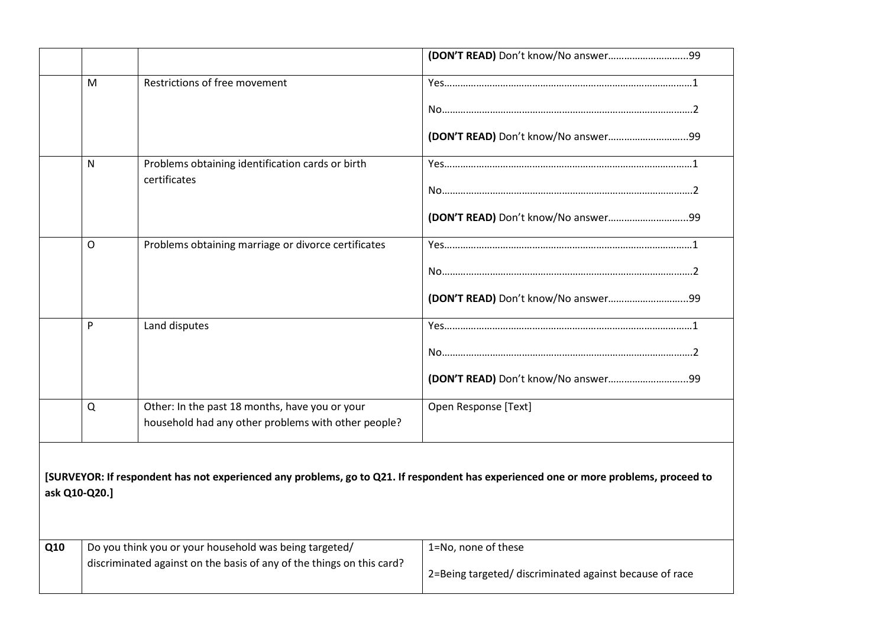|               | M | Restrictions of free movement                                                                         |                                                                                                                                      |
|---------------|---|-------------------------------------------------------------------------------------------------------|--------------------------------------------------------------------------------------------------------------------------------------|
|               |   |                                                                                                       |                                                                                                                                      |
|               |   |                                                                                                       |                                                                                                                                      |
|               | N | Problems obtaining identification cards or birth                                                      |                                                                                                                                      |
|               |   | certificates                                                                                          |                                                                                                                                      |
|               |   |                                                                                                       |                                                                                                                                      |
|               | O | Problems obtaining marriage or divorce certificates                                                   |                                                                                                                                      |
|               |   |                                                                                                       |                                                                                                                                      |
|               |   |                                                                                                       | (DON'T READ) Don't know/No answer99                                                                                                  |
|               | P | Land disputes                                                                                         |                                                                                                                                      |
|               |   |                                                                                                       |                                                                                                                                      |
|               |   |                                                                                                       | (DON'T READ) Don't know/No answer99                                                                                                  |
|               | Q | Other: In the past 18 months, have you or your<br>household had any other problems with other people? | Open Response [Text]                                                                                                                 |
| ask Q10-Q20.] |   |                                                                                                       | [SURVEYOR: If respondent has not experienced any problems, go to Q21. If respondent has experienced one or more problems, proceed to |
| Q10           |   | Do you think you or your household was being targeted/                                                | 1=No, none of these                                                                                                                  |
|               |   | discriminated against on the basis of any of the things on this card?                                 | 2=Being targeted/ discriminated against because of race                                                                              |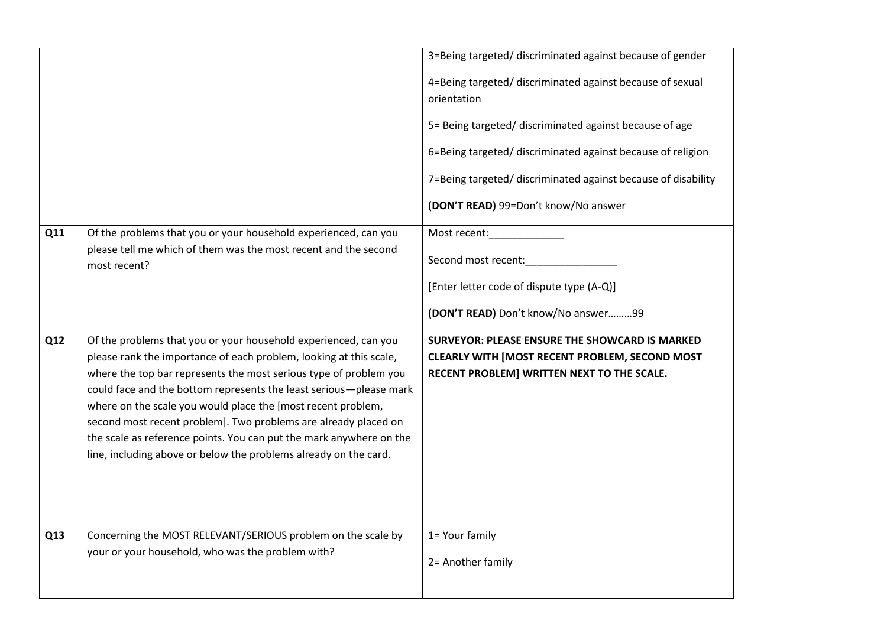|     |                                                                                                                                         | 3=Being targeted/ discriminated against because of gender                                                                                                                                                                                                                                                   |
|-----|-----------------------------------------------------------------------------------------------------------------------------------------|-------------------------------------------------------------------------------------------------------------------------------------------------------------------------------------------------------------------------------------------------------------------------------------------------------------|
|     |                                                                                                                                         | 4=Being targeted/ discriminated against because of sexual<br>orientation<br>5= Being targeted/ discriminated against because of age<br>6=Being targeted/ discriminated against because of religion<br>7=Being targeted/ discriminated against because of disability<br>(DON'T READ) 99=Don't know/No answer |
| Q11 | Of the problems that you or your household experienced, can you                                                                         | Most recent: Nost recent:                                                                                                                                                                                                                                                                                   |
|     | please tell me which of them was the most recent and the second<br>most recent?                                                         | Second most recent:                                                                                                                                                                                                                                                                                         |
|     |                                                                                                                                         | [Enter letter code of dispute type (A-Q)]                                                                                                                                                                                                                                                                   |
|     |                                                                                                                                         | (DON'T READ) Don't know/No answer99                                                                                                                                                                                                                                                                         |
| Q12 | Of the problems that you or your household experienced, can you                                                                         | <b>SURVEYOR: PLEASE ENSURE THE SHOWCARD IS MARKED</b>                                                                                                                                                                                                                                                       |
|     | please rank the importance of each problem, looking at this scale,                                                                      | <b>CLEARLY WITH [MOST RECENT PROBLEM, SECOND MOST</b>                                                                                                                                                                                                                                                       |
|     | where the top bar represents the most serious type of problem you<br>could face and the bottom represents the least serious-please mark | RECENT PROBLEM] WRITTEN NEXT TO THE SCALE.                                                                                                                                                                                                                                                                  |
|     | where on the scale you would place the [most recent problem,                                                                            |                                                                                                                                                                                                                                                                                                             |
|     | second most recent problem]. Two problems are already placed on                                                                         |                                                                                                                                                                                                                                                                                                             |
|     | the scale as reference points. You can put the mark anywhere on the                                                                     |                                                                                                                                                                                                                                                                                                             |
|     | line, including above or below the problems already on the card.                                                                        |                                                                                                                                                                                                                                                                                                             |
|     |                                                                                                                                         |                                                                                                                                                                                                                                                                                                             |
|     |                                                                                                                                         |                                                                                                                                                                                                                                                                                                             |
|     |                                                                                                                                         |                                                                                                                                                                                                                                                                                                             |
| Q13 | Concerning the MOST RELEVANT/SERIOUS problem on the scale by                                                                            | 1= Your family                                                                                                                                                                                                                                                                                              |
|     | your or your household, who was the problem with?                                                                                       | 2= Another family                                                                                                                                                                                                                                                                                           |
|     |                                                                                                                                         |                                                                                                                                                                                                                                                                                                             |
|     |                                                                                                                                         |                                                                                                                                                                                                                                                                                                             |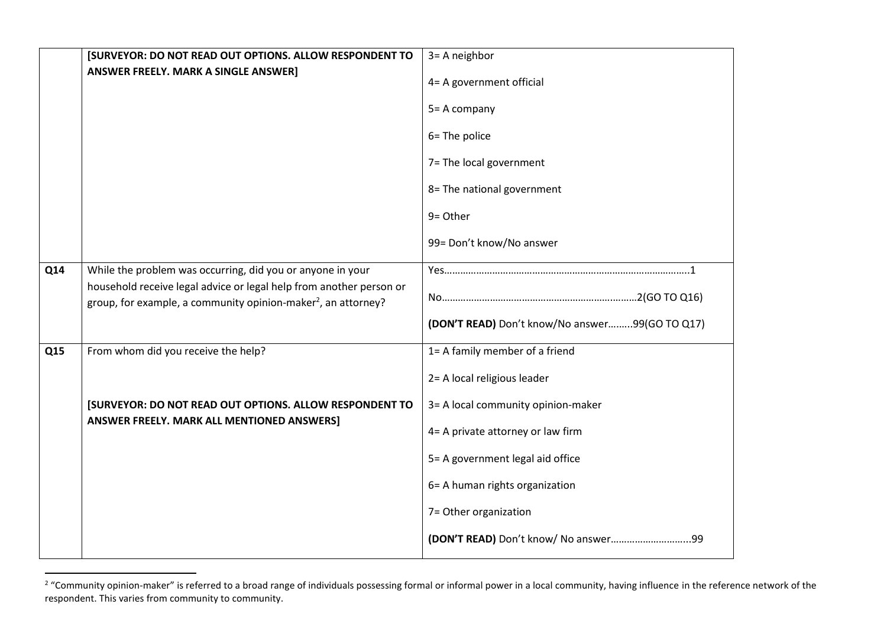|     | [SURVEYOR: DO NOT READ OUT OPTIONS. ALLOW RESPONDENT TO                                                                                          | 3= A neighbor                                  |
|-----|--------------------------------------------------------------------------------------------------------------------------------------------------|------------------------------------------------|
|     | <b>ANSWER FREELY. MARK A SINGLE ANSWER]</b>                                                                                                      | 4= A government official                       |
|     |                                                                                                                                                  | 5= A company                                   |
|     |                                                                                                                                                  | 6= The police                                  |
|     |                                                                                                                                                  | 7= The local government                        |
|     |                                                                                                                                                  | 8= The national government                     |
|     |                                                                                                                                                  | 9= Other                                       |
|     |                                                                                                                                                  | 99= Don't know/No answer                       |
| Q14 | While the problem was occurring, did you or anyone in your                                                                                       |                                                |
|     | household receive legal advice or legal help from another person or<br>group, for example, a community opinion-maker <sup>2</sup> , an attorney? |                                                |
|     |                                                                                                                                                  | (DON'T READ) Don't know/No answer99(GO TO Q17) |
| Q15 | From whom did you receive the help?                                                                                                              | 1= A family member of a friend                 |
|     |                                                                                                                                                  | 2= A local religious leader                    |
|     | [SURVEYOR: DO NOT READ OUT OPTIONS. ALLOW RESPONDENT TO                                                                                          | 3= A local community opinion-maker             |
|     | ANSWER FREELY. MARK ALL MENTIONED ANSWERS]                                                                                                       | 4= A private attorney or law firm              |
|     |                                                                                                                                                  | 5= A government legal aid office               |
|     |                                                                                                                                                  | 6= A human rights organization                 |
|     |                                                                                                                                                  | 7= Other organization                          |
|     |                                                                                                                                                  |                                                |

extingulative managem and the match of the community opinion-<br>2 "Community opinion-maker" is referred to a broad range of individuals possessing formal or informal power in a local community, having influence in the refere respondent. This varies from community to community.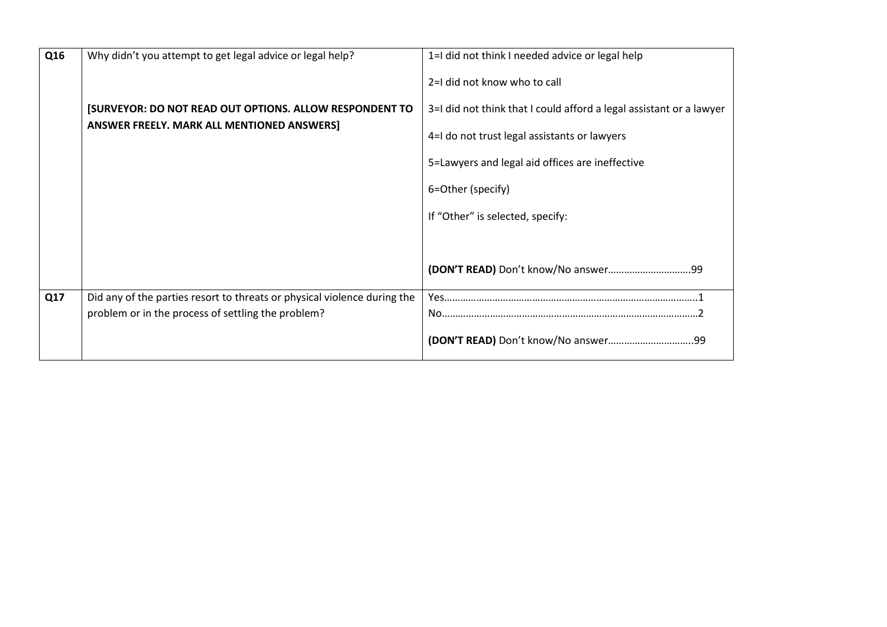| Q16 | Why didn't you attempt to get legal advice or legal help?                | 1=I did not think I needed advice or legal help                     |
|-----|--------------------------------------------------------------------------|---------------------------------------------------------------------|
|     |                                                                          | 2=I did not know who to call                                        |
|     | [SURVEYOR: DO NOT READ OUT OPTIONS. ALLOW RESPONDENT TO                  | 3=I did not think that I could afford a legal assistant or a lawyer |
|     | <b>ANSWER FREELY. MARK ALL MENTIONED ANSWERS]</b>                        | 4=I do not trust legal assistants or lawyers                        |
|     |                                                                          | 5=Lawyers and legal aid offices are ineffective                     |
|     |                                                                          | 6=Other (specify)                                                   |
|     |                                                                          | If "Other" is selected, specify:                                    |
|     |                                                                          |                                                                     |
|     |                                                                          |                                                                     |
| Q17 | Did any of the parties resort to threats or physical violence during the |                                                                     |
|     | problem or in the process of settling the problem?                       |                                                                     |
|     |                                                                          |                                                                     |
|     |                                                                          |                                                                     |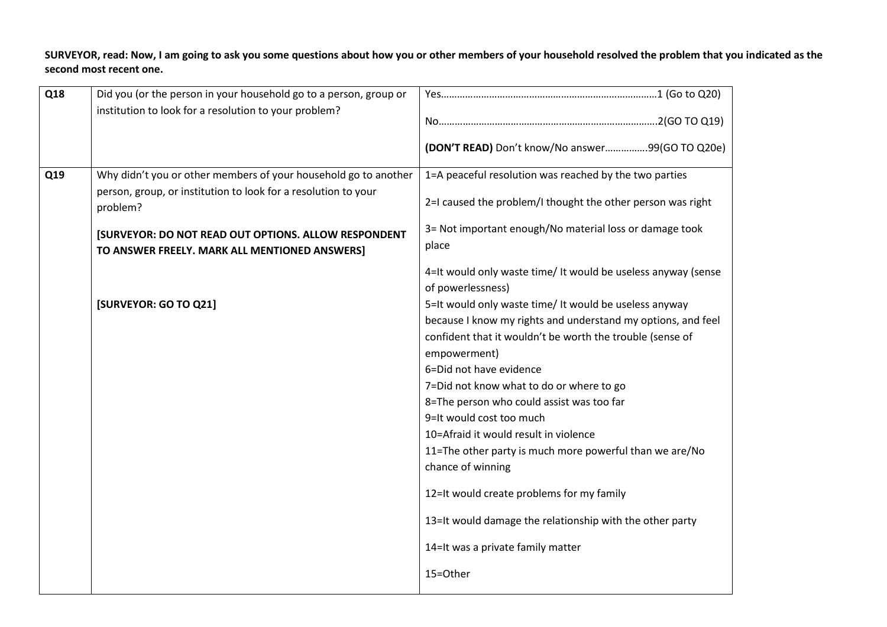**SURVEYOR, read: Now, I am going to ask you some questions about how you or other members of your household resolved the problem that you indicated as the second most recent one.**

| Q18 | Did you (or the person in your household go to a person, group or                                            |                                                                                    |
|-----|--------------------------------------------------------------------------------------------------------------|------------------------------------------------------------------------------------|
|     | institution to look for a resolution to your problem?                                                        |                                                                                    |
|     |                                                                                                              | (DON'T READ) Don't know/No answer99(GO TO Q20e)                                    |
| Q19 | Why didn't you or other members of your household go to another                                              | 1=A peaceful resolution was reached by the two parties                             |
|     | person, group, or institution to look for a resolution to your<br>problem?                                   | 2=I caused the problem/I thought the other person was right                        |
|     | <b>[SURVEYOR: DO NOT READ OUT OPTIONS. ALLOW RESPONDENT</b><br>TO ANSWER FREELY. MARK ALL MENTIONED ANSWERS] | 3= Not important enough/No material loss or damage took<br>place                   |
|     |                                                                                                              | 4=It would only waste time/ It would be useless anyway (sense<br>of powerlessness) |
|     | [SURVEYOR: GO TO Q21]                                                                                        | 5=It would only waste time/ It would be useless anyway                             |
|     |                                                                                                              | because I know my rights and understand my options, and feel                       |
|     |                                                                                                              | confident that it wouldn't be worth the trouble (sense of                          |
|     |                                                                                                              | empowerment)                                                                       |
|     |                                                                                                              | 6=Did not have evidence                                                            |
|     |                                                                                                              | 7=Did not know what to do or where to go                                           |
|     |                                                                                                              | 8=The person who could assist was too far                                          |
|     |                                                                                                              | 9=It would cost too much                                                           |
|     |                                                                                                              | 10=Afraid it would result in violence                                              |
|     |                                                                                                              | 11=The other party is much more powerful than we are/No                            |
|     |                                                                                                              | chance of winning                                                                  |
|     |                                                                                                              | 12=It would create problems for my family                                          |
|     |                                                                                                              | 13=It would damage the relationship with the other party                           |
|     |                                                                                                              | 14=It was a private family matter                                                  |
|     |                                                                                                              | 15=Other                                                                           |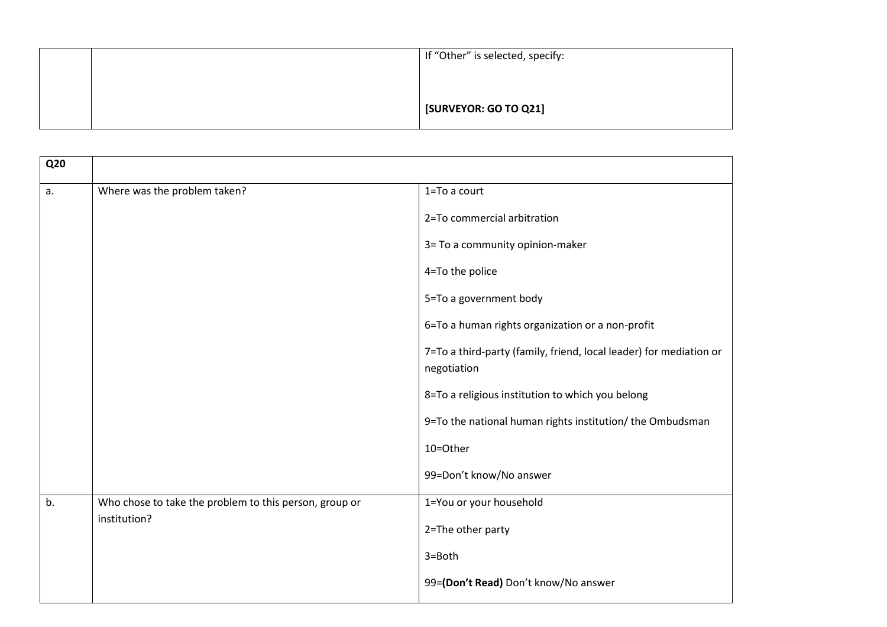|  | If "Other" is selected, specify: |
|--|----------------------------------|
|  |                                  |
|  | <b>[SURVEYOR: GO TO Q21]</b>     |
|  |                                  |

| <b>Q20</b> |                                                        |                                                                                   |
|------------|--------------------------------------------------------|-----------------------------------------------------------------------------------|
|            |                                                        |                                                                                   |
| a.         | Where was the problem taken?                           | 1=To a court                                                                      |
|            |                                                        | 2=To commercial arbitration                                                       |
|            |                                                        | 3= To a community opinion-maker                                                   |
|            |                                                        | 4=To the police                                                                   |
|            |                                                        | 5=To a government body                                                            |
|            |                                                        | 6=To a human rights organization or a non-profit                                  |
|            |                                                        | 7=To a third-party (family, friend, local leader) for mediation or<br>negotiation |
|            |                                                        | 8=To a religious institution to which you belong                                  |
|            |                                                        | 9=To the national human rights institution/ the Ombudsman                         |
|            |                                                        | 10=Other                                                                          |
|            |                                                        | 99=Don't know/No answer                                                           |
| b.         | Who chose to take the problem to this person, group or | 1=You or your household                                                           |
|            | institution?                                           | 2=The other party                                                                 |
|            |                                                        | 3=Both                                                                            |
|            |                                                        | 99=(Don't Read) Don't know/No answer                                              |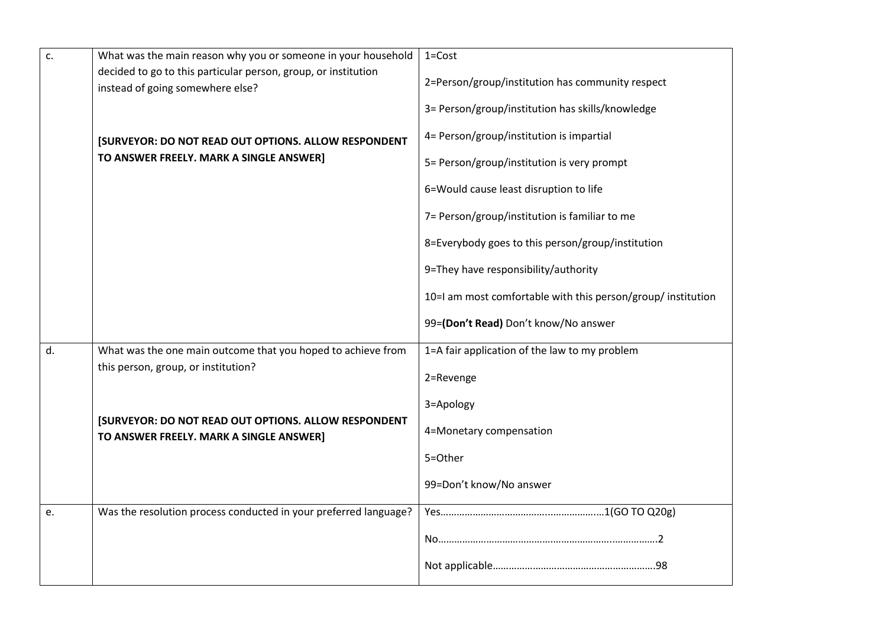| c. | What was the main reason why you or someone in your household                                      | $1 = Cost$                                                   |
|----|----------------------------------------------------------------------------------------------------|--------------------------------------------------------------|
|    | decided to go to this particular person, group, or institution<br>instead of going somewhere else? | 2=Person/group/institution has community respect             |
|    |                                                                                                    | 3= Person/group/institution has skills/knowledge             |
|    | [SURVEYOR: DO NOT READ OUT OPTIONS. ALLOW RESPONDENT                                               | 4= Person/group/institution is impartial                     |
|    | TO ANSWER FREELY. MARK A SINGLE ANSWER]                                                            | 5= Person/group/institution is very prompt                   |
|    |                                                                                                    | 6=Would cause least disruption to life                       |
|    |                                                                                                    | 7= Person/group/institution is familiar to me                |
|    |                                                                                                    | 8=Everybody goes to this person/group/institution            |
|    |                                                                                                    | 9=They have responsibility/authority                         |
|    |                                                                                                    | 10=I am most comfortable with this person/group/ institution |
|    |                                                                                                    | 99=(Don't Read) Don't know/No answer                         |
| d. | What was the one main outcome that you hoped to achieve from                                       | 1=A fair application of the law to my problem                |
|    | this person, group, or institution?                                                                | 2=Revenge                                                    |
|    |                                                                                                    | 3=Apology                                                    |
|    | [SURVEYOR: DO NOT READ OUT OPTIONS. ALLOW RESPONDENT<br>TO ANSWER FREELY. MARK A SINGLE ANSWER]    | 4=Monetary compensation                                      |
|    |                                                                                                    | 5=Other                                                      |
|    |                                                                                                    | 99=Don't know/No answer                                      |
| e. | Was the resolution process conducted in your preferred language?                                   |                                                              |
|    |                                                                                                    |                                                              |
|    |                                                                                                    |                                                              |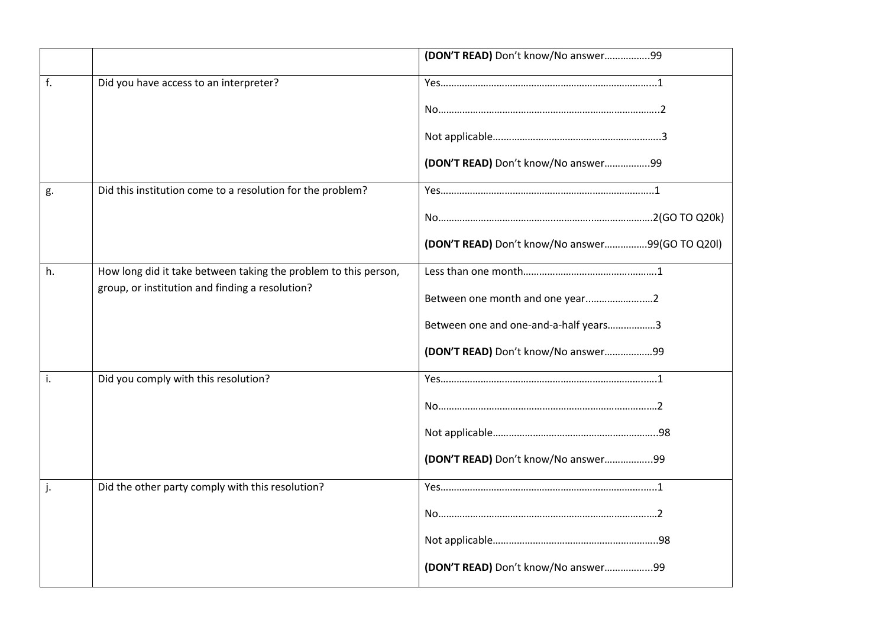|    |                                                                 | (DON'T READ) Don't know/No answer99             |
|----|-----------------------------------------------------------------|-------------------------------------------------|
| f. | Did you have access to an interpreter?                          |                                                 |
|    |                                                                 |                                                 |
|    |                                                                 |                                                 |
|    |                                                                 | (DON'T READ) Don't know/No answer99             |
| g. | Did this institution come to a resolution for the problem?      |                                                 |
|    |                                                                 |                                                 |
|    |                                                                 | (DON'T READ) Don't know/No answer99(GO TO Q20I) |
| h. | How long did it take between taking the problem to this person, |                                                 |
|    | group, or institution and finding a resolution?                 | Between one month and one year2                 |
|    |                                                                 | Between one and one-and-a-half years3           |
|    |                                                                 | (DON'T READ) Don't know/No answer99             |
| i. | Did you comply with this resolution?                            |                                                 |
|    |                                                                 |                                                 |
|    |                                                                 |                                                 |
|    |                                                                 | (DON'T READ) Don't know/No answer99             |
|    | Did the other party comply with this resolution?                |                                                 |
|    |                                                                 |                                                 |
|    |                                                                 |                                                 |
|    |                                                                 | (DON'T READ) Don't know/No answer99             |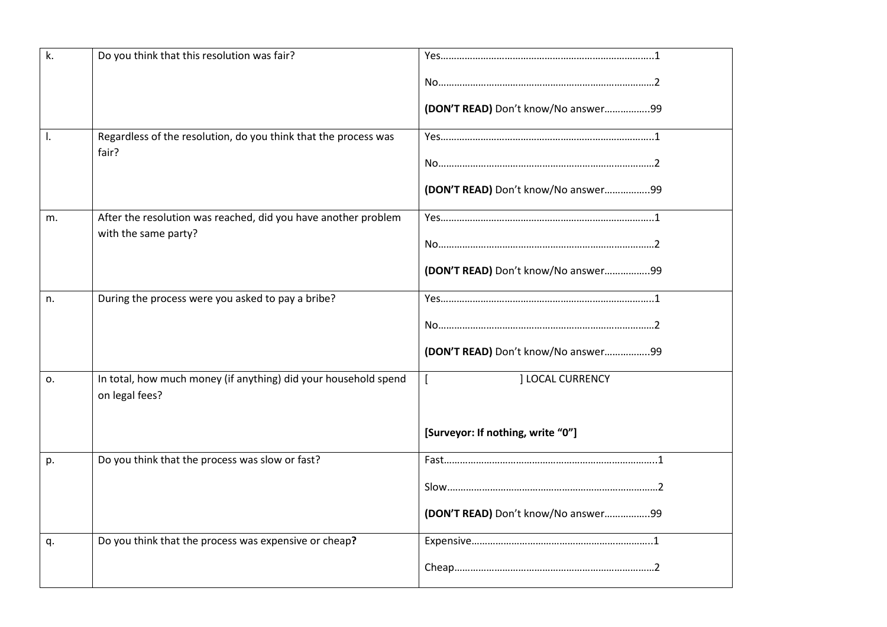| k. | Do you think that this resolution was fair?                                       |                                     |
|----|-----------------------------------------------------------------------------------|-------------------------------------|
|    |                                                                                   |                                     |
|    |                                                                                   | (DON'T READ) Don't know/No answer99 |
| I. | Regardless of the resolution, do you think that the process was<br>fair?          |                                     |
|    |                                                                                   |                                     |
|    |                                                                                   | (DON'T READ) Don't know/No answer99 |
| m. | After the resolution was reached, did you have another problem                    |                                     |
|    | with the same party?                                                              |                                     |
|    |                                                                                   | (DON'T READ) Don't know/No answer99 |
| n. | During the process were you asked to pay a bribe?                                 |                                     |
|    |                                                                                   |                                     |
|    |                                                                                   | (DON'T READ) Don't know/No answer99 |
| 0. | In total, how much money (if anything) did your household spend<br>on legal fees? | <b>I LOCAL CURRENCY</b>             |
|    |                                                                                   | [Surveyor: If nothing, write "0"]   |
| p. | Do you think that the process was slow or fast?                                   |                                     |
|    |                                                                                   |                                     |
|    |                                                                                   | (DON'T READ) Don't know/No answer99 |
| q. | Do you think that the process was expensive or cheap?                             |                                     |
|    |                                                                                   |                                     |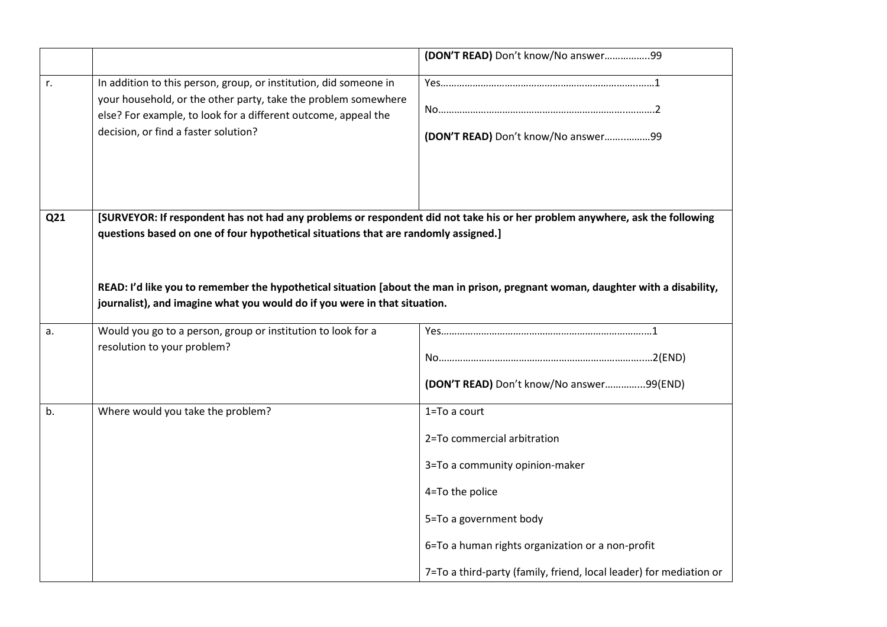|     |                                                                                                                                                                                                                                               | (DON'T READ) Don't know/No answer99                                                                                                                                                                                                                  |
|-----|-----------------------------------------------------------------------------------------------------------------------------------------------------------------------------------------------------------------------------------------------|------------------------------------------------------------------------------------------------------------------------------------------------------------------------------------------------------------------------------------------------------|
| r.  | In addition to this person, group, or institution, did someone in<br>your household, or the other party, take the problem somewhere<br>else? For example, to look for a different outcome, appeal the<br>decision, or find a faster solution? | (DON'T READ) Don't know/No answer99                                                                                                                                                                                                                  |
| Q21 | [SURVEYOR: If respondent has not had any problems or respondent did not take his or her problem anywhere, ask the following<br>questions based on one of four hypothetical situations that are randomly assigned.]                            |                                                                                                                                                                                                                                                      |
|     | READ: I'd like you to remember the hypothetical situation [about the man in prison, pregnant woman, daughter with a disability,<br>journalist), and imagine what you would do if you were in that situation.                                  |                                                                                                                                                                                                                                                      |
| a.  | Would you go to a person, group or institution to look for a<br>resolution to your problem?                                                                                                                                                   | (DON'T READ) Don't know/No answer99(END)                                                                                                                                                                                                             |
| b.  | Where would you take the problem?                                                                                                                                                                                                             | 1=To a court<br>2=To commercial arbitration<br>3=To a community opinion-maker<br>4=To the police<br>5=To a government body<br>6=To a human rights organization or a non-profit<br>7=To a third-party (family, friend, local leader) for mediation or |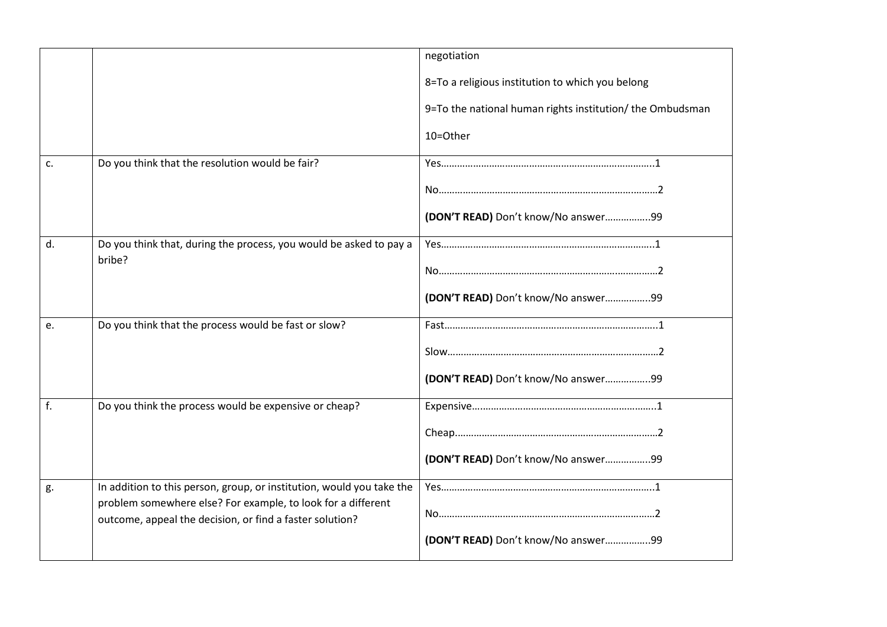|    |                                                                                                                          | negotiation                                               |
|----|--------------------------------------------------------------------------------------------------------------------------|-----------------------------------------------------------|
|    |                                                                                                                          |                                                           |
|    |                                                                                                                          | 8=To a religious institution to which you belong          |
|    |                                                                                                                          | 9=To the national human rights institution/ the Ombudsman |
|    |                                                                                                                          | 10=Other                                                  |
| c. | Do you think that the resolution would be fair?                                                                          |                                                           |
|    |                                                                                                                          |                                                           |
|    |                                                                                                                          | (DON'T READ) Don't know/No answer99                       |
| d. | Do you think that, during the process, you would be asked to pay a                                                       |                                                           |
|    | bribe?                                                                                                                   |                                                           |
|    |                                                                                                                          | (DON'T READ) Don't know/No answer99                       |
| e. | Do you think that the process would be fast or slow?                                                                     |                                                           |
|    |                                                                                                                          |                                                           |
|    |                                                                                                                          | (DON'T READ) Don't know/No answer99                       |
| f. | Do you think the process would be expensive or cheap?                                                                    |                                                           |
|    |                                                                                                                          |                                                           |
|    |                                                                                                                          | (DON'T READ) Don't know/No answer99                       |
| g. | In addition to this person, group, or institution, would you take the                                                    |                                                           |
|    | problem somewhere else? For example, to look for a different<br>outcome, appeal the decision, or find a faster solution? |                                                           |
|    |                                                                                                                          | (DON'T READ) Don't know/No answer99                       |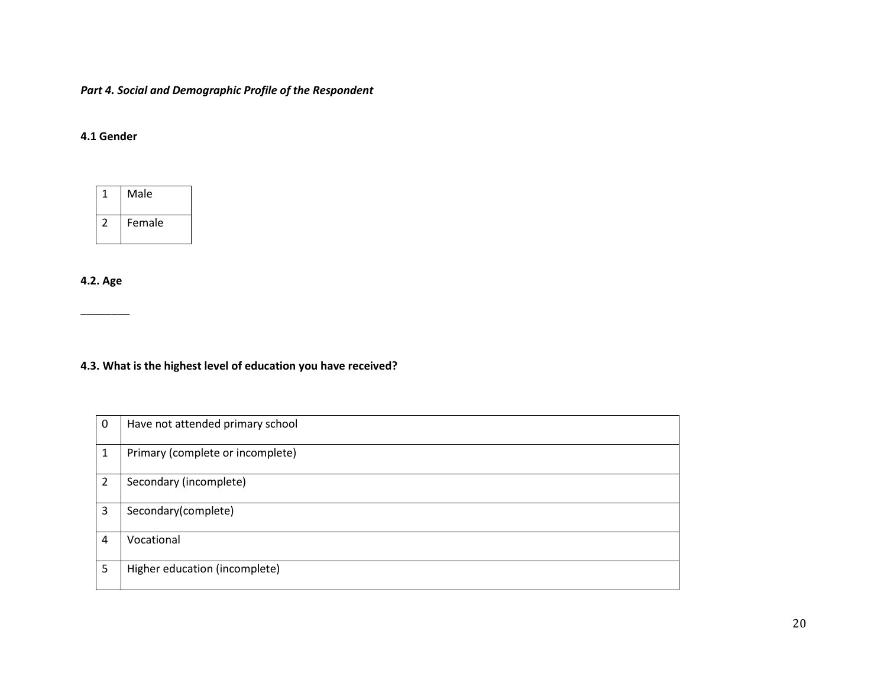*Part 4. Social and Demographic Profile of the Respondent*

### **4.1 Gender**

| Male   |
|--------|
| Female |

**4.2. Age**

\_\_\_\_\_\_\_\_

**4.3. What is the highest level of education you have received?**

| 0 | Have not attended primary school |
|---|----------------------------------|
| 1 | Primary (complete or incomplete) |
| 2 | Secondary (incomplete)           |
| 3 | Secondary(complete)              |
| 4 | Vocational                       |
| 5 | Higher education (incomplete)    |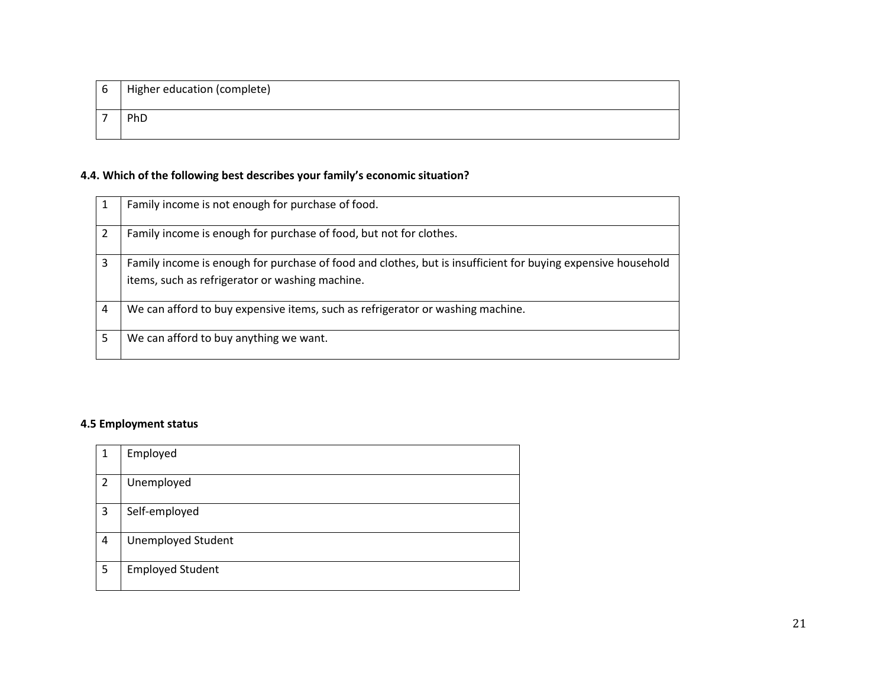| 6 | Higher education (complete) |
|---|-----------------------------|
|   | PhD                         |

## **4.4. Which of the following best describes your family's economic situation?**

|   | Family income is not enough for purchase of food.                                                                                                               |
|---|-----------------------------------------------------------------------------------------------------------------------------------------------------------------|
|   | Family income is enough for purchase of food, but not for clothes.                                                                                              |
| 3 | Family income is enough for purchase of food and clothes, but is insufficient for buying expensive household<br>items, such as refrigerator or washing machine. |
| 4 | We can afford to buy expensive items, such as refrigerator or washing machine.                                                                                  |
| 5 | We can afford to buy anything we want.                                                                                                                          |

### **4.5 Employment status**

| 1              | Employed                  |
|----------------|---------------------------|
| 2              | Unemployed                |
| $\overline{3}$ | Self-employed             |
| 4              | <b>Unemployed Student</b> |
| 5              | <b>Employed Student</b>   |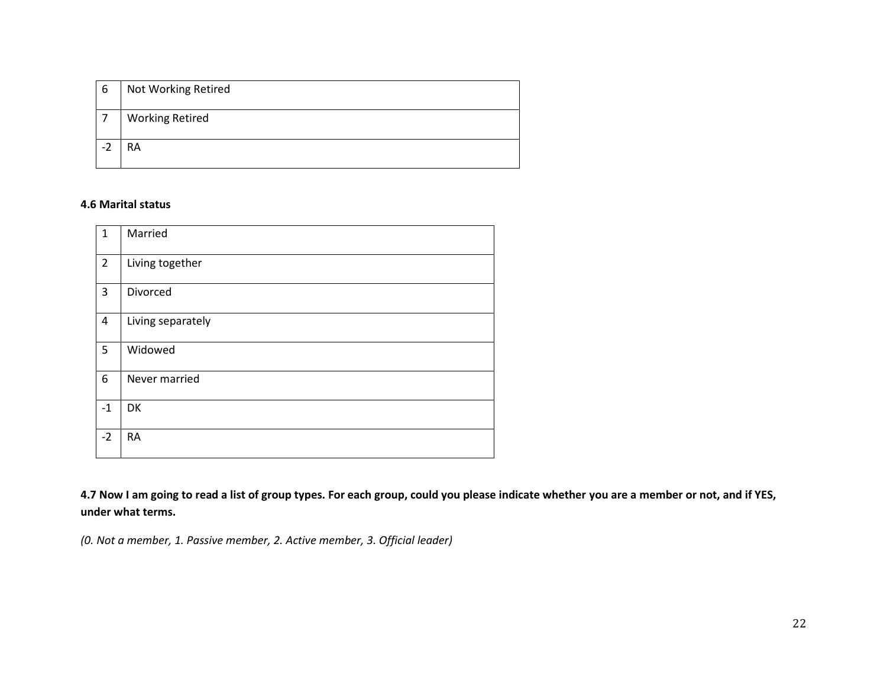| -6 | Not Working Retired    |
|----|------------------------|
|    | <b>Working Retired</b> |
| Ξ. | <b>RA</b>              |

### **4.6 Marital status**

| $\mathbf{1}$   | Married           |
|----------------|-------------------|
| $\overline{2}$ | Living together   |
| 3              | Divorced          |
| $\overline{4}$ | Living separately |
| 5              | Widowed           |
| 6              | Never married     |
| $-1$           | DK                |
| $-2$           | <b>RA</b>         |

**4.7 Now I am going to read a list of group types. For each group, could you please indicate whether you are a member or not, and if YES, under what terms.**

*(0. Not a member, 1. Passive member, 2. Active member, 3. Official leader)*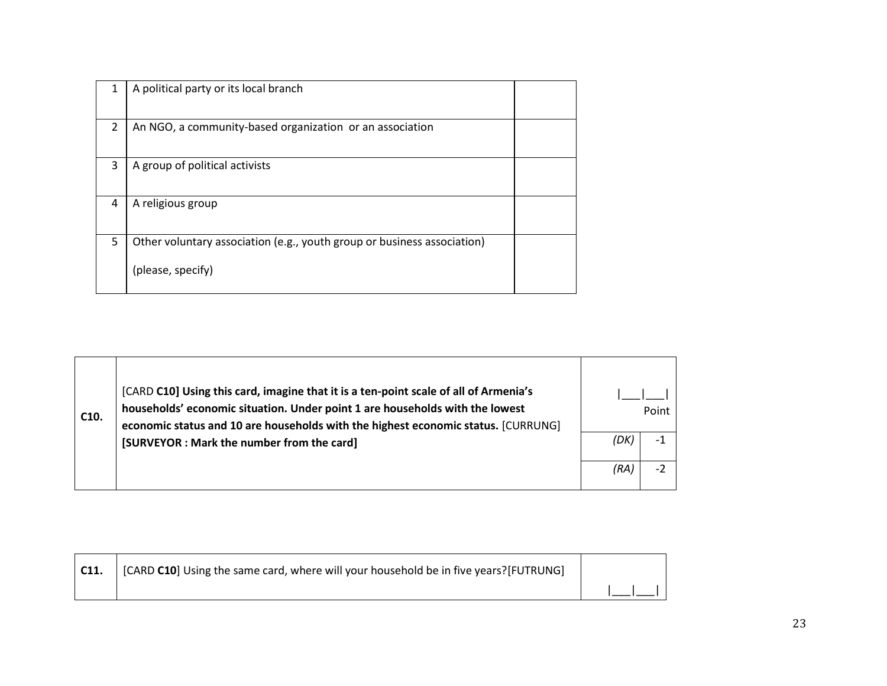| 1 | A political party or its local branch                                   |  |
|---|-------------------------------------------------------------------------|--|
| 2 | An NGO, a community-based organization or an association                |  |
| 3 | A group of political activists                                          |  |
| 4 | A religious group                                                       |  |
| 5 | Other voluntary association (e.g., youth group or business association) |  |
|   | (please, specify)                                                       |  |

| C <sub>10</sub> . | [CARD C10] Using this card, imagine that it is a ten-point scale of all of Armenia's<br>households' economic situation. Under point 1 are households with the lowest<br>economic status and 10 are households with the highest economic status. [CURRUNG] | Point |      |
|-------------------|-----------------------------------------------------------------------------------------------------------------------------------------------------------------------------------------------------------------------------------------------------------|-------|------|
|                   | [SURVEYOR : Mark the number from the card]                                                                                                                                                                                                                | (DK   | -1   |
|                   |                                                                                                                                                                                                                                                           | (RA,  | $-2$ |

| C11. | [CARD C10] Using the same card, where will your household be in five years?[FUTRUNG] |  |
|------|--------------------------------------------------------------------------------------|--|
|      |                                                                                      |  |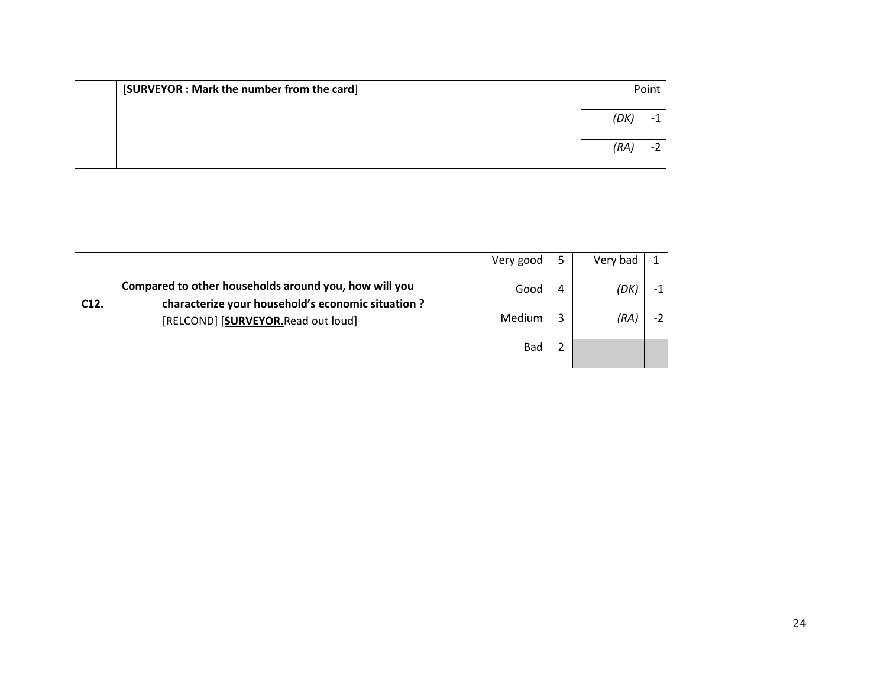| [SURVEYOR : Mark the number from the card] | Point |  |
|--------------------------------------------|-------|--|
|                                            | (DK   |  |
|                                            | (RA   |  |

|      |                                                                                                                                                   | Very good  |   | Very bad |      |
|------|---------------------------------------------------------------------------------------------------------------------------------------------------|------------|---|----------|------|
| C12. | Compared to other households around you, how will you<br>characterize your household's economic situation ?<br>[RELCOND] [SURVEYOR.Read out loud] | Good       | 4 | (DK)     | $-1$ |
|      |                                                                                                                                                   | Medium     |   | (RA)     | $-2$ |
|      |                                                                                                                                                   | <b>Bad</b> |   |          |      |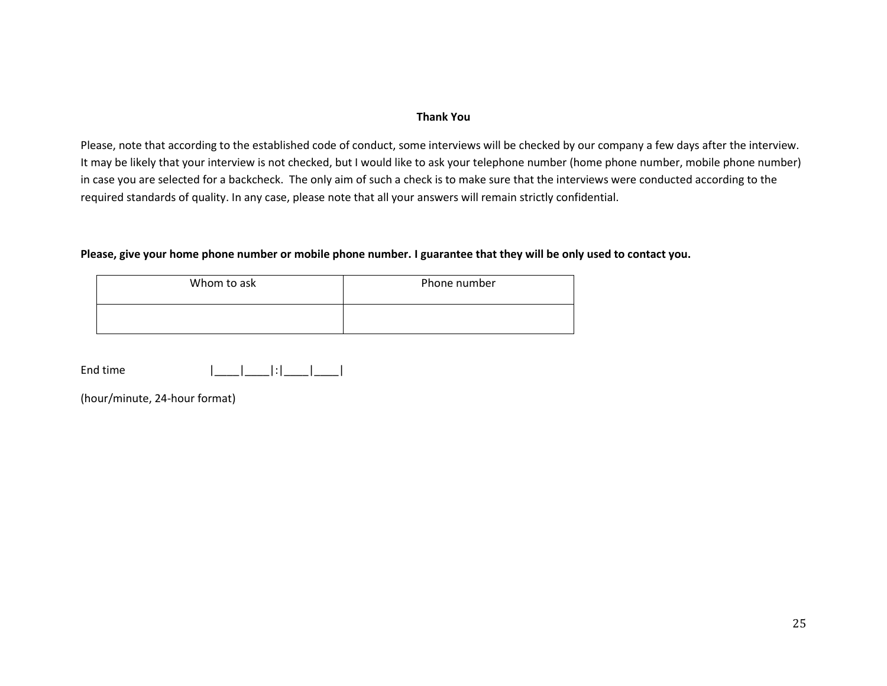#### **Thank You**

Please, note that according to the established code of conduct, some interviews will be checked by our company a few days after the interview. It may be likely that your interview is not checked, but I would like to ask your telephone number (home phone number, mobile phone number) in case you are selected for a backcheck. The only aim of such a check is to make sure that the interviews were conducted according to the required standards of quality. In any case, please note that all your answers will remain strictly confidential.

#### **Please, give your home phone number or mobile phone number. I guarantee that they will be only used to contact you.**

| Whom to ask | Phone number |  |  |  |
|-------------|--------------|--|--|--|
|             |              |  |  |  |

| End time |  |  |  |
|----------|--|--|--|
|          |  |  |  |

(hour/minute, 24-hour format)